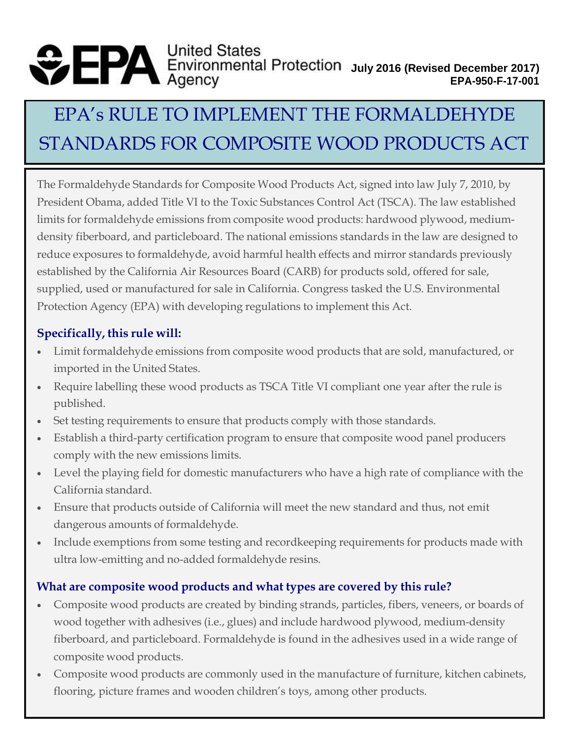# **United States July 2016 (Revised December 2017) EPA-950-F-17-001**

# EPA's RULE TO IMPLEMENT THE FORMALDEHYDE STANDARDS FOR COMPOSITE WOOD PRODUCTS ACT

The Formaldehyde Standards for Composite Wood Products Act, signed into law July 7, 2010, by President Obama, added Title VI to the Toxic Substances Control Act (TSCA). The law established limits for formaldehyde emissions from composite wood products: hardwood plywood, mediumdensity fiberboard, and particleboard. The national emissions standards in the law are designed to reduce exposures to formaldehyde, avoid harmful health effects and mirror standards previously established by the California Air Resources Board (CARB) for products sold, offered for sale, supplied, used or manufactured for sale in California. Congress tasked the U.S. Environmental Protection Agency (EPA) with developing regulations to implement this Act.

## **Specifically, this rule will:**

- Limit formaldehyde emissions from composite wood products that are sold, manufactured, or imported in the United States.
- Require labelling these wood products as TSCA Title VI compliant one year after the rule is published.
- Set testing requirements to ensure that products comply with those standards.
- Establish a third-party certification program to ensure that composite wood panel producers comply with the new emissions limits.
- Level the playing field for domestic manufacturers who have a high rate of compliance with the California standard.
- Ensure that products outside of California will meet the new standard and thus, not emit dangerous amounts of formaldehyde.
- Include exemptions from some testing and recordkeeping requirements for products made with ultra low-emitting and no-added formaldehyde resins.

## **What are composite wood products and what types are covered by this rule?**

- Composite wood products are created by binding strands, particles, fibers, veneers, or boards of wood together with adhesives (i.e., glues) and include hardwood plywood, medium-density fiberboard, and particleboard. Formaldehyde is found in the adhesives used in a wide range of composite wood products.
- Composite wood products are commonly used in the manufacture of furniture, kitchen cabinets, flooring, picture frames and wooden children's toys, among other products.